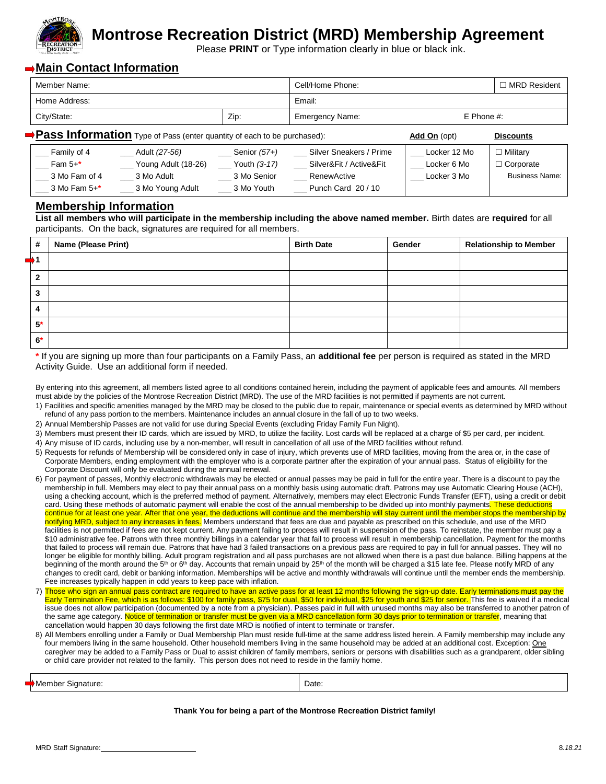

# **Montrose Recreation District (MRD) Membership Agreement**

Please **PRINT** or Type information clearly in blue or black ink.

## **Main Contact Information**

| Member Name:                                                            |                      |                       | Cell/Home Phone:        |              | <b>MRD Resident</b>   |
|-------------------------------------------------------------------------|----------------------|-----------------------|-------------------------|--------------|-----------------------|
| Home Address:                                                           |                      |                       | Email:                  |              |                       |
| City/State:                                                             |                      | Zip:                  | <b>Emergency Name:</b>  | $E$ Phone #: |                       |
| Pass Information Type of Pass (enter quantity of each to be purchased): |                      |                       |                         | Add On (opt) | <b>Discounts</b>      |
| Family of 4                                                             | Adult <i>(27-56)</i> | Senior (57+)          | Silver Sneakers / Prime | Locker 12 Mo | $\Box$ Military       |
| Fam 5+*                                                                 | Young Adult (18-26)  | $\equiv$ Youth (3-17) | Silver&Fit / Active&Fit | Locker 6 Mo  | $\Box$ Corporate      |
| 3 Mo Fam of 4                                                           | 3 Mo Adult           | 3 Mo Senior           | RenewActive             | Locker 3 Mo  | <b>Business Name:</b> |
| $\frac{1}{2}$ 3 Mo Fam 5+*                                              | 3 Mo Young Adult     | 3 Mo Youth            | Punch Card 20/10        |              |                       |

### **Membership Information**

**List all members who will participate in the membership including the above named member.** Birth dates are **required** for all participants. On the back, signatures are required for all members.

| #              | <b>Name (Please Print)</b> | <b>Birth Date</b> | Gender | <b>Relationship to Member</b> |
|----------------|----------------------------|-------------------|--------|-------------------------------|
|                |                            |                   |        |                               |
| $\mathbf{2}$   |                            |                   |        |                               |
| 3              |                            |                   |        |                               |
| $\overline{4}$ |                            |                   |        |                               |
| $5*$           |                            |                   |        |                               |
| $6*$           |                            |                   |        |                               |

**\*** If you are signing up more than four participants on a Family Pass, an **additional fee** per person is required as stated in the MRD Activity Guide. Use an additional form if needed.

| By entering into this agreement, all members listed agree to all conditions contained herein, including the payment of applicable fees and amounts. All members |  |
|-----------------------------------------------------------------------------------------------------------------------------------------------------------------|--|
| must abide by the policies of the Montrose Recreation District (MRD). The use of the MRD facilities is not permitted if payments are not current.               |  |

- 1) Facilities and specific amenities managed by the MRD may be closed to the public due to repair, maintenance or special events as determined by MRD without refund of any pass portion to the members. Maintenance includes an annual closure in the fall of up to two weeks.
- 2) Annual Membership Passes are not valid for use during Special Events (excluding Friday Family Fun Night).
- 3) Members must present their ID cards, which are issued by MRD, to utilize the facility. Lost cards will be replaced at a charge of \$5 per card, per incident.
- 4) Any misuse of ID cards, including use by a non-member, will result in cancellation of all use of the MRD facilities without refund.
- 5) Requests for refunds of Membership will be considered only in case of injury, which prevents use of MRD facilities, moving from the area or, in the case of Corporate Members, ending employment with the employer who is a corporate partner after the expiration of your annual pass. Status of eligibility for the Corporate Discount will only be evaluated during the annual renewal.
- 6) For payment of passes, Monthly electronic withdrawals may be elected or annual passes may be paid in full for the entire year. There is a discount to pay the membership in full. Members may elect to pay their annual pass on a monthly basis using automatic draft. Patrons may use Automatic Clearing House (ACH), using a checking account, which is the preferred method of payment. Alternatively, members may elect Electronic Funds Transfer (EFT), using a credit or debit card. Using these methods of automatic payment will enable the cost of the annual membership to be divided up into monthly payments. These deductions continue for at least one year. After that one year, the deductions will continue and the membership will stay current until the member stops the membership by notifying MRD, subject to any increases in fees. Members understand that fees are due and payable as prescribed on this schedule, and use of the MRD facilities is not permitted if fees are not kept current. Any payment failing to process will result in suspension of the pass. To reinstate, the member must pay a \$10 administrative fee. Patrons with three monthly billings in a calendar year that fail to process will result in membership cancellation. Payment for the months that failed to process will remain due. Patrons that have had 3 failed transactions on a previous pass are required to pay in full for annual passes. They will no longer be eligible for monthly billing. Adult program registration and all pass purchases are not allowed when there is a past due balance. Billing happens at the beginning of the month around the  $5<sup>th</sup>$  or  $6<sup>th</sup>$  day. Accounts that remain unpaid by 25<sup>th</sup> of the month will be charged a \$15 late fee. Please notify MRD of any changes to credit card, debit or banking information. Memberships will be active and monthly withdrawals will continue until the member ends the membership. Fee increases typically happen in odd years to keep pace with inflation.
- 7) Those who sign an annual pass contract are required to have an active pass for at least 12 months following the sign-up date. Early terminations must pay the Early Termination Fee, which is as follows: \$100 for family pass, \$75 for dual, \$50 for individual, \$25 for youth and \$25 for senior. This fee is waived if a medical issue does not allow participation (documented by a note from a physician). Passes paid in full with unused months may also be transferred to another patron of the same age category. Notice of termination or transfer must be given via a MRD cancellation form 30 days prior to termination or transfer, meaning that cancellation would happen 30 days following the first date MRD is notified of intent to terminate or transfer.
- 8) All Members enrolling under a Family or Dual Membership Plan must reside full-time at the same address listed herein. A Family membership may include any four members living in the same household. Other household members living in the same household may be added at an additional cost. Exception: One caregiver may be added to a Family Pass or Dual to assist children of family members, seniors or persons with disabilities such as a grandparent, older sibling or child care provider not related to the family. This person does not need to reside in the family home.

|  | <b>IA .</b><br>Signature<br>anner<br>' IVIE<br>. | Date:<br>. |
|--|--------------------------------------------------|------------|
|--|--------------------------------------------------|------------|

#### **Thank You for being a part of the Montrose Recreation District family!**